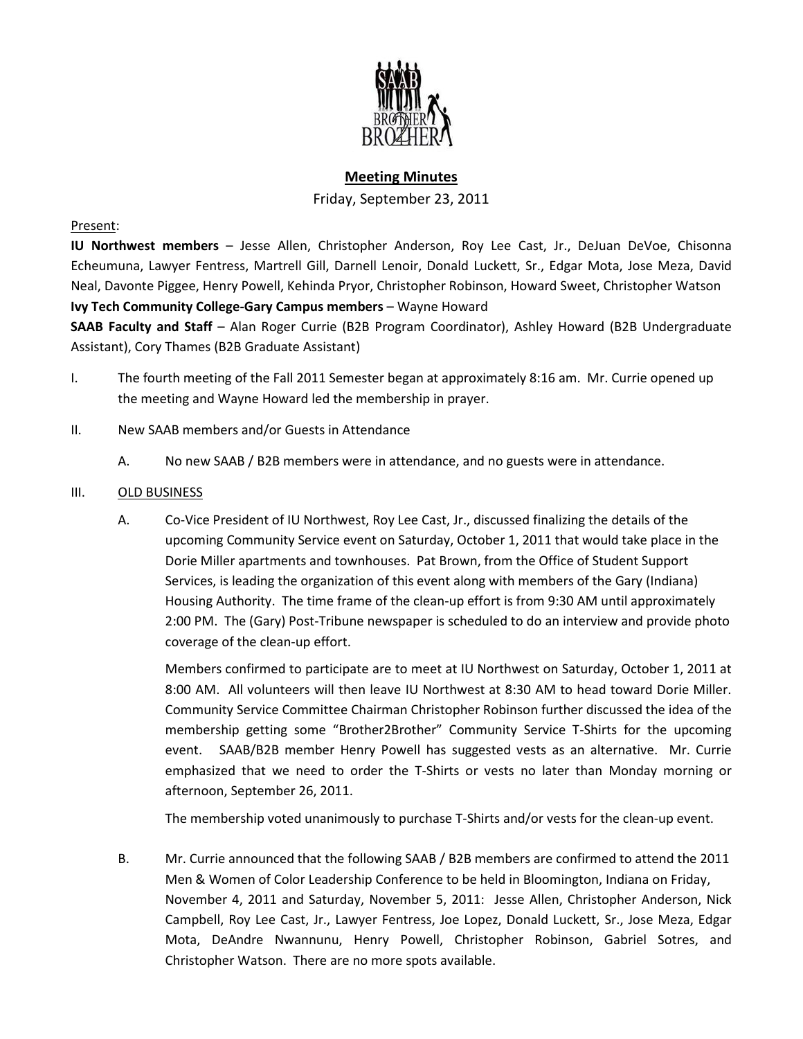

# **Meeting Minutes**

Friday, September 23, 2011

### Present:

**IU Northwest members** – Jesse Allen, Christopher Anderson, Roy Lee Cast, Jr., DeJuan DeVoe, Chisonna Echeumuna, Lawyer Fentress, Martrell Gill, Darnell Lenoir, Donald Luckett, Sr., Edgar Mota, Jose Meza, David Neal, Davonte Piggee, Henry Powell, Kehinda Pryor, Christopher Robinson, Howard Sweet, Christopher Watson **Ivy Tech Community College-Gary Campus members** – Wayne Howard

**SAAB Faculty and Staff** – Alan Roger Currie (B2B Program Coordinator), Ashley Howard (B2B Undergraduate Assistant), Cory Thames (B2B Graduate Assistant)

- I. The fourth meeting of the Fall 2011 Semester began at approximately 8:16 am. Mr. Currie opened up the meeting and Wayne Howard led the membership in prayer.
- II. New SAAB members and/or Guests in Attendance
	- A. No new SAAB / B2B members were in attendance, and no guests were in attendance.

### III. OLD BUSINESS

A. Co-Vice President of IU Northwest, Roy Lee Cast, Jr., discussed finalizing the details of the upcoming Community Service event on Saturday, October 1, 2011 that would take place in the Dorie Miller apartments and townhouses. Pat Brown, from the Office of Student Support Services, is leading the organization of this event along with members of the Gary (Indiana) Housing Authority. The time frame of the clean-up effort is from 9:30 AM until approximately 2:00 PM. The (Gary) Post-Tribune newspaper is scheduled to do an interview and provide photo coverage of the clean-up effort.

Members confirmed to participate are to meet at IU Northwest on Saturday, October 1, 2011 at 8:00 AM. All volunteers will then leave IU Northwest at 8:30 AM to head toward Dorie Miller. Community Service Committee Chairman Christopher Robinson further discussed the idea of the membership getting some "Brother2Brother" Community Service T-Shirts for the upcoming event. SAAB/B2B member Henry Powell has suggested vests as an alternative. Mr. Currie emphasized that we need to order the T-Shirts or vests no later than Monday morning or afternoon, September 26, 2011.

The membership voted unanimously to purchase T-Shirts and/or vests for the clean-up event.

B. Mr. Currie announced that the following SAAB / B2B members are confirmed to attend the 2011 Men & Women of Color Leadership Conference to be held in Bloomington, Indiana on Friday, November 4, 2011 and Saturday, November 5, 2011: Jesse Allen, Christopher Anderson, Nick Campbell, Roy Lee Cast, Jr., Lawyer Fentress, Joe Lopez, Donald Luckett, Sr., Jose Meza, Edgar Mota, DeAndre Nwannunu, Henry Powell, Christopher Robinson, Gabriel Sotres, and Christopher Watson. There are no more spots available.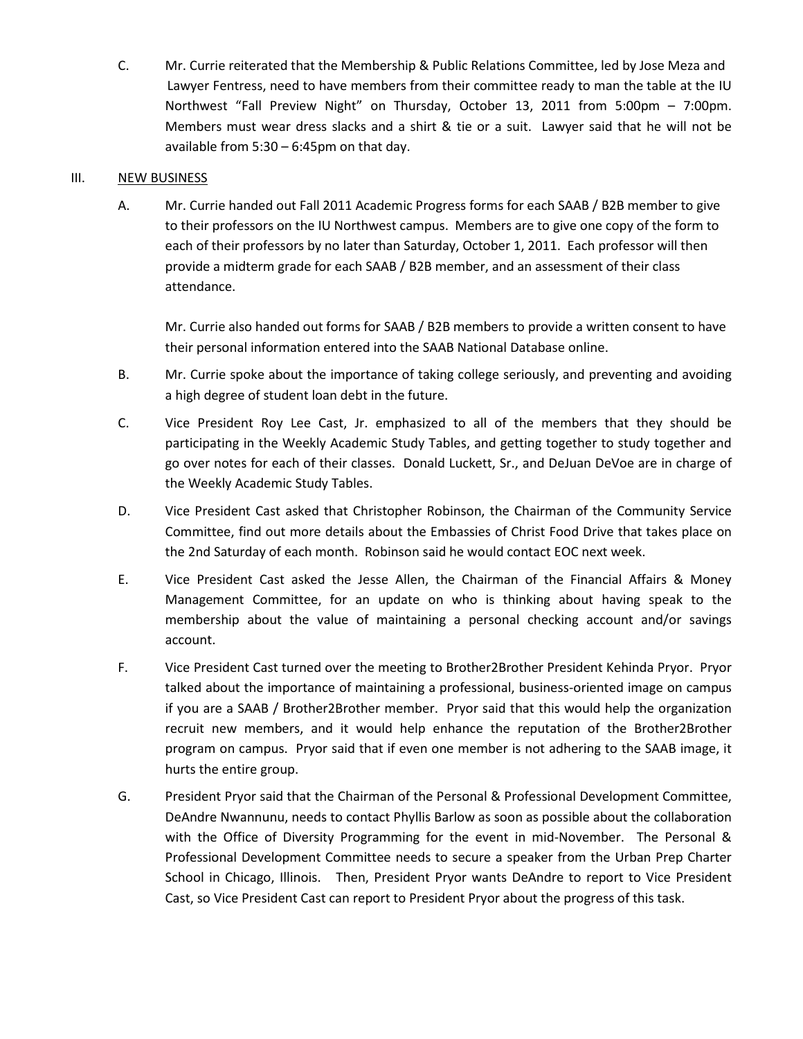C. Mr. Currie reiterated that the Membership & Public Relations Committee, led by Jose Meza and Lawyer Fentress, need to have members from their committee ready to man the table at the IU Northwest "Fall Preview Night" on Thursday, October 13, 2011 from 5:00pm – 7:00pm. Members must wear dress slacks and a shirt & tie or a suit. Lawyer said that he will not be available from 5:30 – 6:45pm on that day.

## III. NEW BUSINESS

A. Mr. Currie handed out Fall 2011 Academic Progress forms for each SAAB / B2B member to give to their professors on the IU Northwest campus. Members are to give one copy of the form to each of their professors by no later than Saturday, October 1, 2011. Each professor will then provide a midterm grade for each SAAB / B2B member, and an assessment of their class attendance.

Mr. Currie also handed out forms for SAAB / B2B members to provide a written consent to have their personal information entered into the SAAB National Database online.

- B. Mr. Currie spoke about the importance of taking college seriously, and preventing and avoiding a high degree of student loan debt in the future.
- C. Vice President Roy Lee Cast, Jr. emphasized to all of the members that they should be participating in the Weekly Academic Study Tables, and getting together to study together and go over notes for each of their classes. Donald Luckett, Sr., and DeJuan DeVoe are in charge of the Weekly Academic Study Tables.
- D. Vice President Cast asked that Christopher Robinson, the Chairman of the Community Service Committee, find out more details about the Embassies of Christ Food Drive that takes place on the 2nd Saturday of each month. Robinson said he would contact EOC next week.
- E. Vice President Cast asked the Jesse Allen, the Chairman of the Financial Affairs & Money Management Committee, for an update on who is thinking about having speak to the membership about the value of maintaining a personal checking account and/or savings account.
- F. Vice President Cast turned over the meeting to Brother2Brother President Kehinda Pryor. Pryor talked about the importance of maintaining a professional, business-oriented image on campus if you are a SAAB / Brother2Brother member. Pryor said that this would help the organization recruit new members, and it would help enhance the reputation of the Brother2Brother program on campus. Pryor said that if even one member is not adhering to the SAAB image, it hurts the entire group.
- G. President Pryor said that the Chairman of the Personal & Professional Development Committee, DeAndre Nwannunu, needs to contact Phyllis Barlow as soon as possible about the collaboration with the Office of Diversity Programming for the event in mid-November. The Personal & Professional Development Committee needs to secure a speaker from the Urban Prep Charter School in Chicago, Illinois. Then, President Pryor wants DeAndre to report to Vice President Cast, so Vice President Cast can report to President Pryor about the progress of this task.